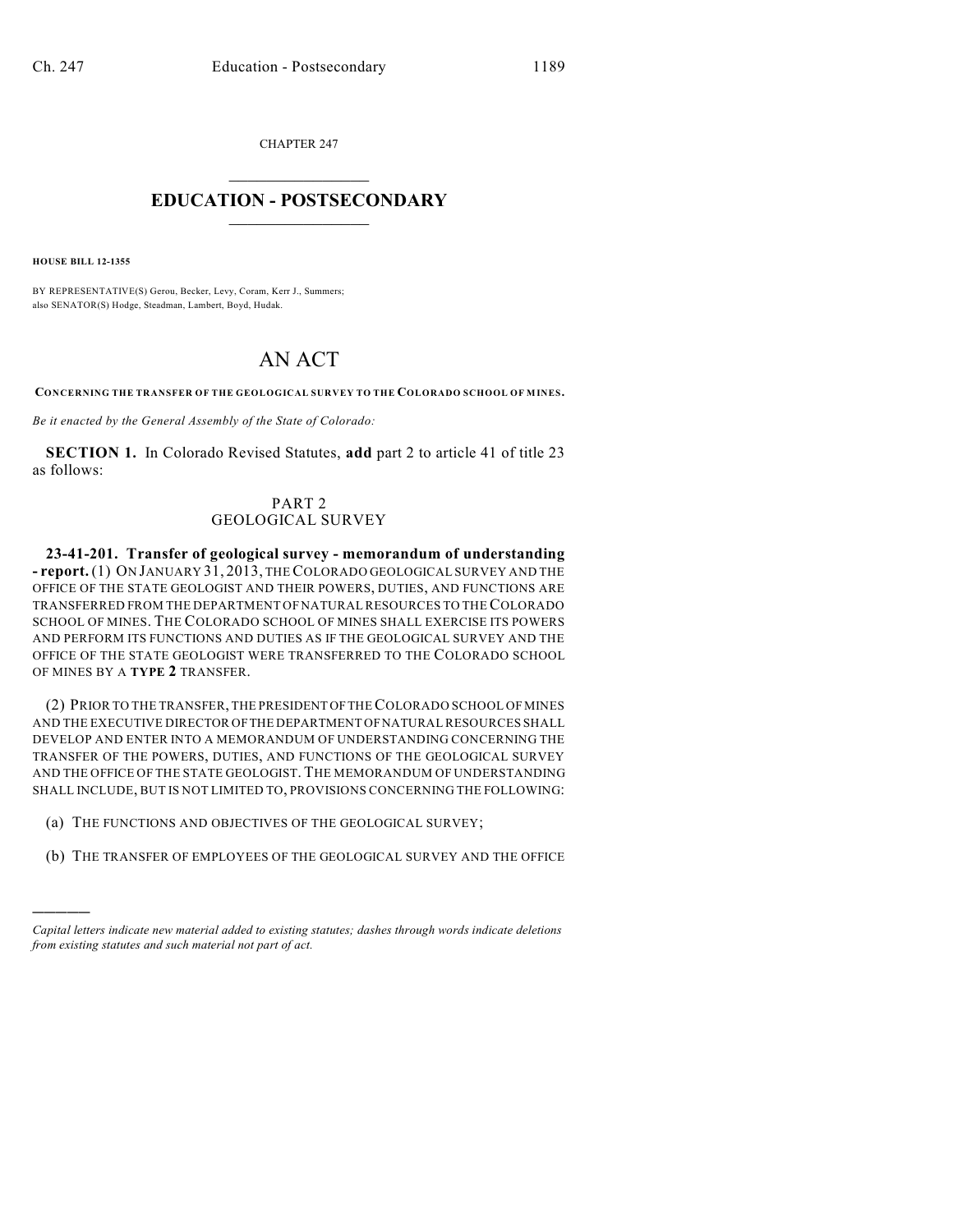CHAPTER 247

## $\mathcal{L}_\text{max}$  . The set of the set of the set of the set of the set of the set of the set of the set of the set of the set of the set of the set of the set of the set of the set of the set of the set of the set of the set **EDUCATION - POSTSECONDARY**  $\frac{1}{2}$  ,  $\frac{1}{2}$  ,  $\frac{1}{2}$  ,  $\frac{1}{2}$  ,  $\frac{1}{2}$  ,  $\frac{1}{2}$  ,  $\frac{1}{2}$

**HOUSE BILL 12-1355**

)))))

BY REPRESENTATIVE(S) Gerou, Becker, Levy, Coram, Kerr J., Summers; also SENATOR(S) Hodge, Steadman, Lambert, Boyd, Hudak.

## AN ACT

**CONCERNING THE TRANSFER OF THE GEOLOGICAL SURVEY TO THE COLORADO SCHOOL OF MINES.**

*Be it enacted by the General Assembly of the State of Colorado:*

**SECTION 1.** In Colorado Revised Statutes, **add** part 2 to article 41 of title 23 as follows:

## PART 2 GEOLOGICAL SURVEY

**23-41-201. Transfer of geological survey - memorandum of understanding - report.** (1) ON JANUARY 31, 2013, THECOLORADO GEOLOGICAL SURVEY AND THE OFFICE OF THE STATE GEOLOGIST AND THEIR POWERS, DUTIES, AND FUNCTIONS ARE TRANSFERRED FROM THE DEPARTMENT OF NATURAL RESOURCES TO THECOLORADO SCHOOL OF MINES. THE COLORADO SCHOOL OF MINES SHALL EXERCISE ITS POWERS AND PERFORM ITS FUNCTIONS AND DUTIES AS IF THE GEOLOGICAL SURVEY AND THE OFFICE OF THE STATE GEOLOGIST WERE TRANSFERRED TO THE COLORADO SCHOOL OF MINES BY A **TYPE 2** TRANSFER.

(2) PRIOR TO THE TRANSFER, THE PRESIDENT OFTHECOLORADO SCHOOL OF MINES AND THE EXECUTIVE DIRECTOR OFTHE DEPARTMENT OFNATURAL RESOURCES SHALL DEVELOP AND ENTER INTO A MEMORANDUM OF UNDERSTANDING CONCERNING THE TRANSFER OF THE POWERS, DUTIES, AND FUNCTIONS OF THE GEOLOGICAL SURVEY AND THE OFFICE OF THE STATE GEOLOGIST. THE MEMORANDUM OF UNDERSTANDING SHALL INCLUDE, BUT IS NOT LIMITED TO, PROVISIONS CONCERNING THE FOLLOWING:

- (a) THE FUNCTIONS AND OBJECTIVES OF THE GEOLOGICAL SURVEY;
- (b) THE TRANSFER OF EMPLOYEES OF THE GEOLOGICAL SURVEY AND THE OFFICE

*Capital letters indicate new material added to existing statutes; dashes through words indicate deletions from existing statutes and such material not part of act.*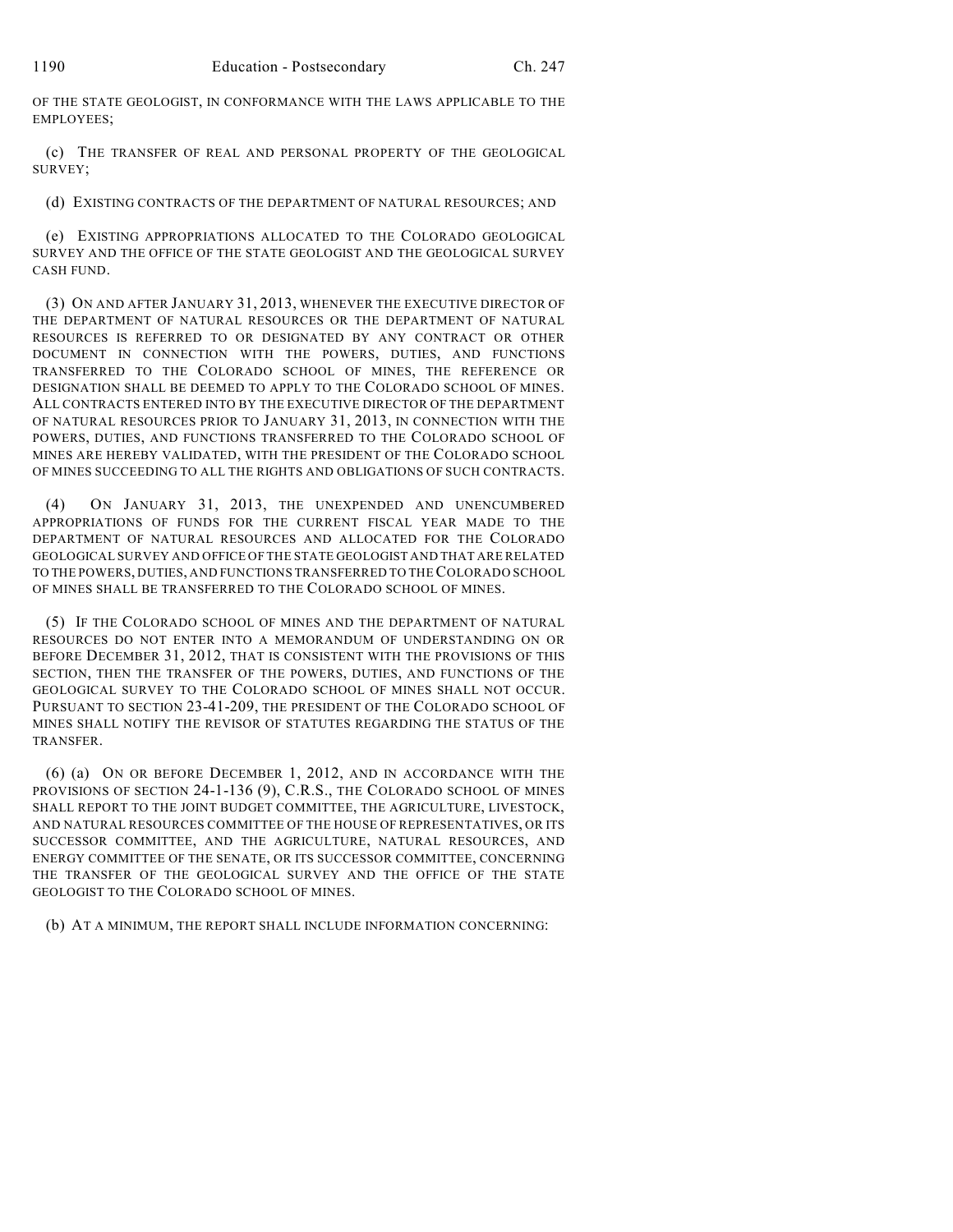OF THE STATE GEOLOGIST, IN CONFORMANCE WITH THE LAWS APPLICABLE TO THE EMPLOYEES;

(c) THE TRANSFER OF REAL AND PERSONAL PROPERTY OF THE GEOLOGICAL SURVEY;

(d) EXISTING CONTRACTS OF THE DEPARTMENT OF NATURAL RESOURCES; AND

(e) EXISTING APPROPRIATIONS ALLOCATED TO THE COLORADO GEOLOGICAL SURVEY AND THE OFFICE OF THE STATE GEOLOGIST AND THE GEOLOGICAL SURVEY CASH FUND.

(3) ON AND AFTER JANUARY 31, 2013, WHENEVER THE EXECUTIVE DIRECTOR OF THE DEPARTMENT OF NATURAL RESOURCES OR THE DEPARTMENT OF NATURAL RESOURCES IS REFERRED TO OR DESIGNATED BY ANY CONTRACT OR OTHER DOCUMENT IN CONNECTION WITH THE POWERS, DUTIES, AND FUNCTIONS TRANSFERRED TO THE COLORADO SCHOOL OF MINES, THE REFERENCE OR DESIGNATION SHALL BE DEEMED TO APPLY TO THE COLORADO SCHOOL OF MINES. ALL CONTRACTS ENTERED INTO BY THE EXECUTIVE DIRECTOR OF THE DEPARTMENT OF NATURAL RESOURCES PRIOR TO JANUARY 31, 2013, IN CONNECTION WITH THE POWERS, DUTIES, AND FUNCTIONS TRANSFERRED TO THE COLORADO SCHOOL OF MINES ARE HEREBY VALIDATED, WITH THE PRESIDENT OF THE COLORADO SCHOOL OF MINES SUCCEEDING TO ALL THE RIGHTS AND OBLIGATIONS OF SUCH CONTRACTS.

(4) ON JANUARY 31, 2013, THE UNEXPENDED AND UNENCUMBERED APPROPRIATIONS OF FUNDS FOR THE CURRENT FISCAL YEAR MADE TO THE DEPARTMENT OF NATURAL RESOURCES AND ALLOCATED FOR THE COLORADO GEOLOGICAL SURVEY AND OFFICE OF THE STATE GEOLOGIST AND THAT ARE RELATED TO THE POWERS, DUTIES, AND FUNCTIONS TRANSFERRED TO THECOLORADO SCHOOL OF MINES SHALL BE TRANSFERRED TO THE COLORADO SCHOOL OF MINES.

(5) IF THE COLORADO SCHOOL OF MINES AND THE DEPARTMENT OF NATURAL RESOURCES DO NOT ENTER INTO A MEMORANDUM OF UNDERSTANDING ON OR BEFORE DECEMBER 31, 2012, THAT IS CONSISTENT WITH THE PROVISIONS OF THIS SECTION, THEN THE TRANSFER OF THE POWERS, DUTIES, AND FUNCTIONS OF THE GEOLOGICAL SURVEY TO THE COLORADO SCHOOL OF MINES SHALL NOT OCCUR. PURSUANT TO SECTION 23-41-209, THE PRESIDENT OF THE COLORADO SCHOOL OF MINES SHALL NOTIFY THE REVISOR OF STATUTES REGARDING THE STATUS OF THE TRANSFER.

(6) (a) ON OR BEFORE DECEMBER 1, 2012, AND IN ACCORDANCE WITH THE PROVISIONS OF SECTION 24-1-136 (9), C.R.S., THE COLORADO SCHOOL OF MINES SHALL REPORT TO THE JOINT BUDGET COMMITTEE, THE AGRICULTURE, LIVESTOCK, AND NATURAL RESOURCES COMMITTEE OF THE HOUSE OF REPRESENTATIVES, OR ITS SUCCESSOR COMMITTEE, AND THE AGRICULTURE, NATURAL RESOURCES, AND ENERGY COMMITTEE OF THE SENATE, OR ITS SUCCESSOR COMMITTEE, CONCERNING THE TRANSFER OF THE GEOLOGICAL SURVEY AND THE OFFICE OF THE STATE GEOLOGIST TO THE COLORADO SCHOOL OF MINES.

(b) AT A MINIMUM, THE REPORT SHALL INCLUDE INFORMATION CONCERNING: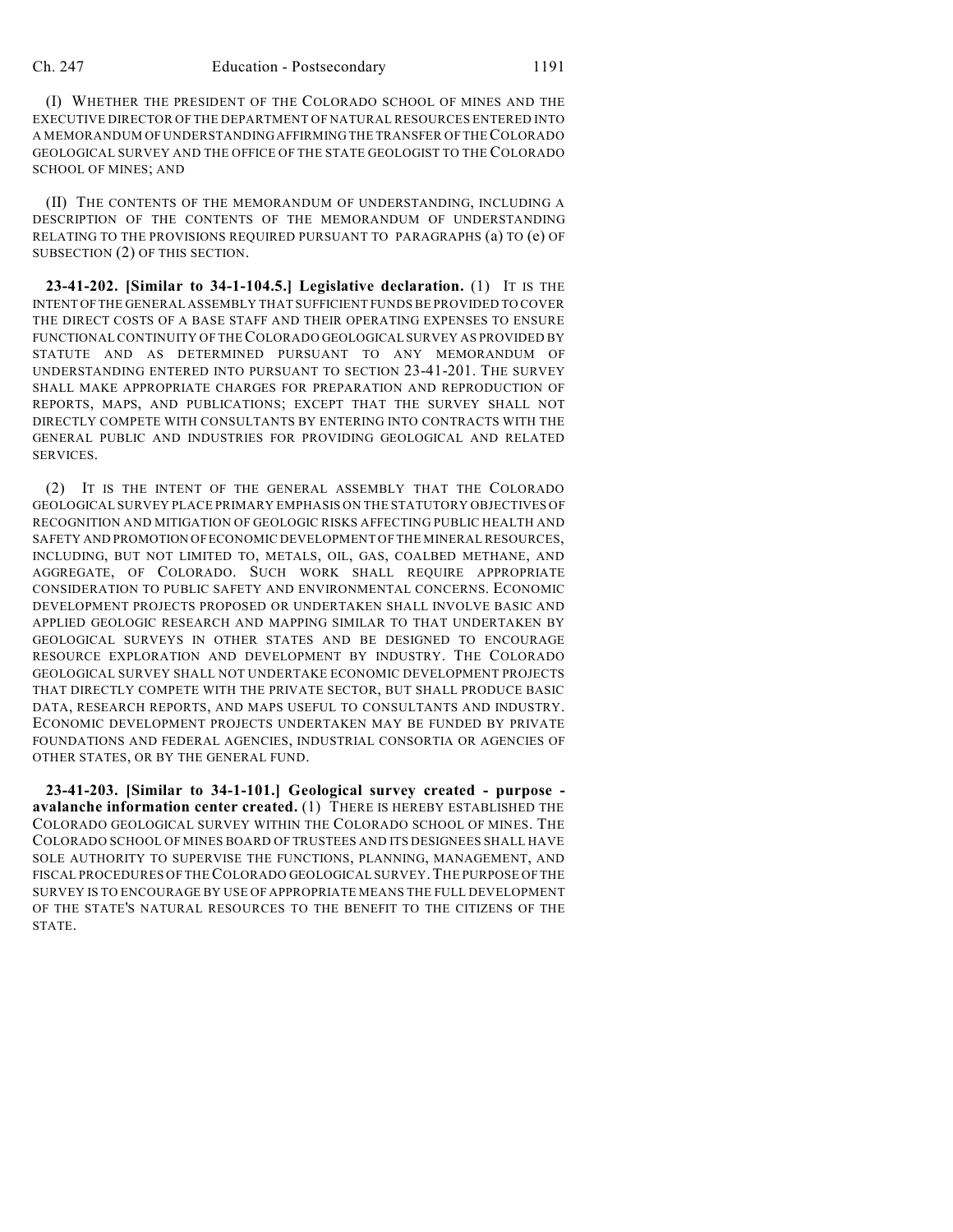(I) WHETHER THE PRESIDENT OF THE COLORADO SCHOOL OF MINES AND THE EXECUTIVE DIRECTOR OF THE DEPARTMENT OF NATURAL RESOURCES ENTERED INTO A MEMORANDUM OF UNDERSTANDING AFFIRMING THE TRANSFER OF THECOLORADO GEOLOGICAL SURVEY AND THE OFFICE OF THE STATE GEOLOGIST TO THE COLORADO SCHOOL OF MINES; AND

(II) THE CONTENTS OF THE MEMORANDUM OF UNDERSTANDING, INCLUDING A DESCRIPTION OF THE CONTENTS OF THE MEMORANDUM OF UNDERSTANDING RELATING TO THE PROVISIONS REQUIRED PURSUANT TO PARAGRAPHS (a) TO (e) OF SUBSECTION (2) OF THIS SECTION.

**23-41-202. [Similar to 34-1-104.5.] Legislative declaration.** (1) IT IS THE INTENT OFTHE GENERAL ASSEMBLY THAT SUFFICIENT FUNDS BE PROVIDED TO COVER THE DIRECT COSTS OF A BASE STAFF AND THEIR OPERATING EXPENSES TO ENSURE FUNCTIONAL CONTINUITY OF THECOLORADO GEOLOGICAL SURVEY AS PROVIDED BY STATUTE AND AS DETERMINED PURSUANT TO ANY MEMORANDUM OF UNDERSTANDING ENTERED INTO PURSUANT TO SECTION 23-41-201. THE SURVEY SHALL MAKE APPROPRIATE CHARGES FOR PREPARATION AND REPRODUCTION OF REPORTS, MAPS, AND PUBLICATIONS; EXCEPT THAT THE SURVEY SHALL NOT DIRECTLY COMPETE WITH CONSULTANTS BY ENTERING INTO CONTRACTS WITH THE GENERAL PUBLIC AND INDUSTRIES FOR PROVIDING GEOLOGICAL AND RELATED SERVICES.

(2) IT IS THE INTENT OF THE GENERAL ASSEMBLY THAT THE COLORADO GEOLOGICAL SURVEY PLACE PRIMARY EMPHASIS ON THE STATUTORY OBJECTIVES OF RECOGNITION AND MITIGATION OF GEOLOGIC RISKS AFFECTING PUBLIC HEALTH AND SAFETY AND PROMOTION OFECONOMIC DEVELOPMENT OF THE MINERAL RESOURCES, INCLUDING, BUT NOT LIMITED TO, METALS, OIL, GAS, COALBED METHANE, AND AGGREGATE, OF COLORADO. SUCH WORK SHALL REQUIRE APPROPRIATE CONSIDERATION TO PUBLIC SAFETY AND ENVIRONMENTAL CONCERNS. ECONOMIC DEVELOPMENT PROJECTS PROPOSED OR UNDERTAKEN SHALL INVOLVE BASIC AND APPLIED GEOLOGIC RESEARCH AND MAPPING SIMILAR TO THAT UNDERTAKEN BY GEOLOGICAL SURVEYS IN OTHER STATES AND BE DESIGNED TO ENCOURAGE RESOURCE EXPLORATION AND DEVELOPMENT BY INDUSTRY. THE COLORADO GEOLOGICAL SURVEY SHALL NOT UNDERTAKE ECONOMIC DEVELOPMENT PROJECTS THAT DIRECTLY COMPETE WITH THE PRIVATE SECTOR, BUT SHALL PRODUCE BASIC DATA, RESEARCH REPORTS, AND MAPS USEFUL TO CONSULTANTS AND INDUSTRY. ECONOMIC DEVELOPMENT PROJECTS UNDERTAKEN MAY BE FUNDED BY PRIVATE FOUNDATIONS AND FEDERAL AGENCIES, INDUSTRIAL CONSORTIA OR AGENCIES OF OTHER STATES, OR BY THE GENERAL FUND.

**23-41-203. [Similar to 34-1-101.] Geological survey created - purpose avalanche information center created.** (1) THERE IS HEREBY ESTABLISHED THE COLORADO GEOLOGICAL SURVEY WITHIN THE COLORADO SCHOOL OF MINES. THE COLORADO SCHOOL OF MINES BOARD OF TRUSTEES AND ITS DESIGNEES SHALL HAVE SOLE AUTHORITY TO SUPERVISE THE FUNCTIONS, PLANNING, MANAGEMENT, AND FISCAL PROCEDURES OF THECOLORADO GEOLOGICAL SURVEY.THE PURPOSE OF THE SURVEY IS TO ENCOURAGE BY USE OF APPROPRIATE MEANS THE FULL DEVELOPMENT OF THE STATE'S NATURAL RESOURCES TO THE BENEFIT TO THE CITIZENS OF THE STATE.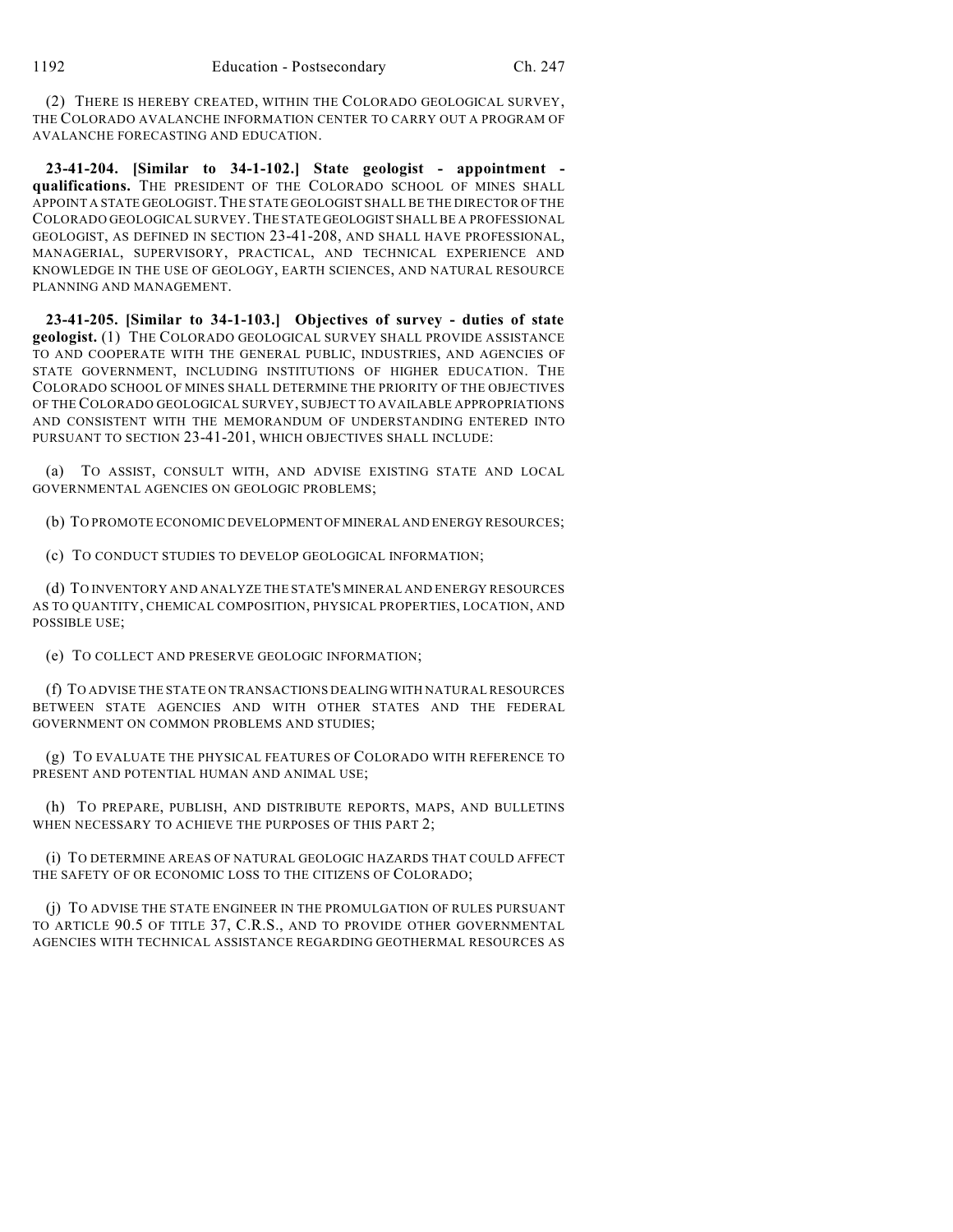(2) THERE IS HEREBY CREATED, WITHIN THE COLORADO GEOLOGICAL SURVEY, THE COLORADO AVALANCHE INFORMATION CENTER TO CARRY OUT A PROGRAM OF AVALANCHE FORECASTING AND EDUCATION.

**23-41-204. [Similar to 34-1-102.] State geologist - appointment qualifications.** THE PRESIDENT OF THE COLORADO SCHOOL OF MINES SHALL APPOINT A STATE GEOLOGIST.THE STATE GEOLOGIST SHALL BE THE DIRECTOR OF THE COLORADO GEOLOGICAL SURVEY.THE STATE GEOLOGIST SHALL BE A PROFESSIONAL GEOLOGIST, AS DEFINED IN SECTION 23-41-208, AND SHALL HAVE PROFESSIONAL, MANAGERIAL, SUPERVISORY, PRACTICAL, AND TECHNICAL EXPERIENCE AND KNOWLEDGE IN THE USE OF GEOLOGY, EARTH SCIENCES, AND NATURAL RESOURCE PLANNING AND MANAGEMENT.

**23-41-205. [Similar to 34-1-103.] Objectives of survey - duties of state geologist.** (1) THE COLORADO GEOLOGICAL SURVEY SHALL PROVIDE ASSISTANCE TO AND COOPERATE WITH THE GENERAL PUBLIC, INDUSTRIES, AND AGENCIES OF STATE GOVERNMENT, INCLUDING INSTITUTIONS OF HIGHER EDUCATION. THE COLORADO SCHOOL OF MINES SHALL DETERMINE THE PRIORITY OF THE OBJECTIVES OF THE COLORADO GEOLOGICAL SURVEY, SUBJECT TO AVAILABLE APPROPRIATIONS AND CONSISTENT WITH THE MEMORANDUM OF UNDERSTANDING ENTERED INTO PURSUANT TO SECTION 23-41-201, WHICH OBJECTIVES SHALL INCLUDE:

(a) TO ASSIST, CONSULT WITH, AND ADVISE EXISTING STATE AND LOCAL GOVERNMENTAL AGENCIES ON GEOLOGIC PROBLEMS;

(b) TO PROMOTE ECONOMIC DEVELOPMENT OFMINERAL AND ENERGY RESOURCES;

(c) TO CONDUCT STUDIES TO DEVELOP GEOLOGICAL INFORMATION;

(d) TO INVENTORY AND ANALYZE THE STATE'S MINERAL AND ENERGY RESOURCES AS TO QUANTITY, CHEMICAL COMPOSITION, PHYSICAL PROPERTIES, LOCATION, AND POSSIBLE USE;

(e) TO COLLECT AND PRESERVE GEOLOGIC INFORMATION;

(f) TO ADVISE THE STATE ON TRANSACTIONS DEALING WITH NATURAL RESOURCES BETWEEN STATE AGENCIES AND WITH OTHER STATES AND THE FEDERAL GOVERNMENT ON COMMON PROBLEMS AND STUDIES;

(g) TO EVALUATE THE PHYSICAL FEATURES OF COLORADO WITH REFERENCE TO PRESENT AND POTENTIAL HUMAN AND ANIMAL USE;

(h) TO PREPARE, PUBLISH, AND DISTRIBUTE REPORTS, MAPS, AND BULLETINS WHEN NECESSARY TO ACHIEVE THE PURPOSES OF THIS PART 2;

(i) TO DETERMINE AREAS OF NATURAL GEOLOGIC HAZARDS THAT COULD AFFECT THE SAFETY OF OR ECONOMIC LOSS TO THE CITIZENS OF COLORADO;

(j) TO ADVISE THE STATE ENGINEER IN THE PROMULGATION OF RULES PURSUANT TO ARTICLE 90.5 OF TITLE 37, C.R.S., AND TO PROVIDE OTHER GOVERNMENTAL AGENCIES WITH TECHNICAL ASSISTANCE REGARDING GEOTHERMAL RESOURCES AS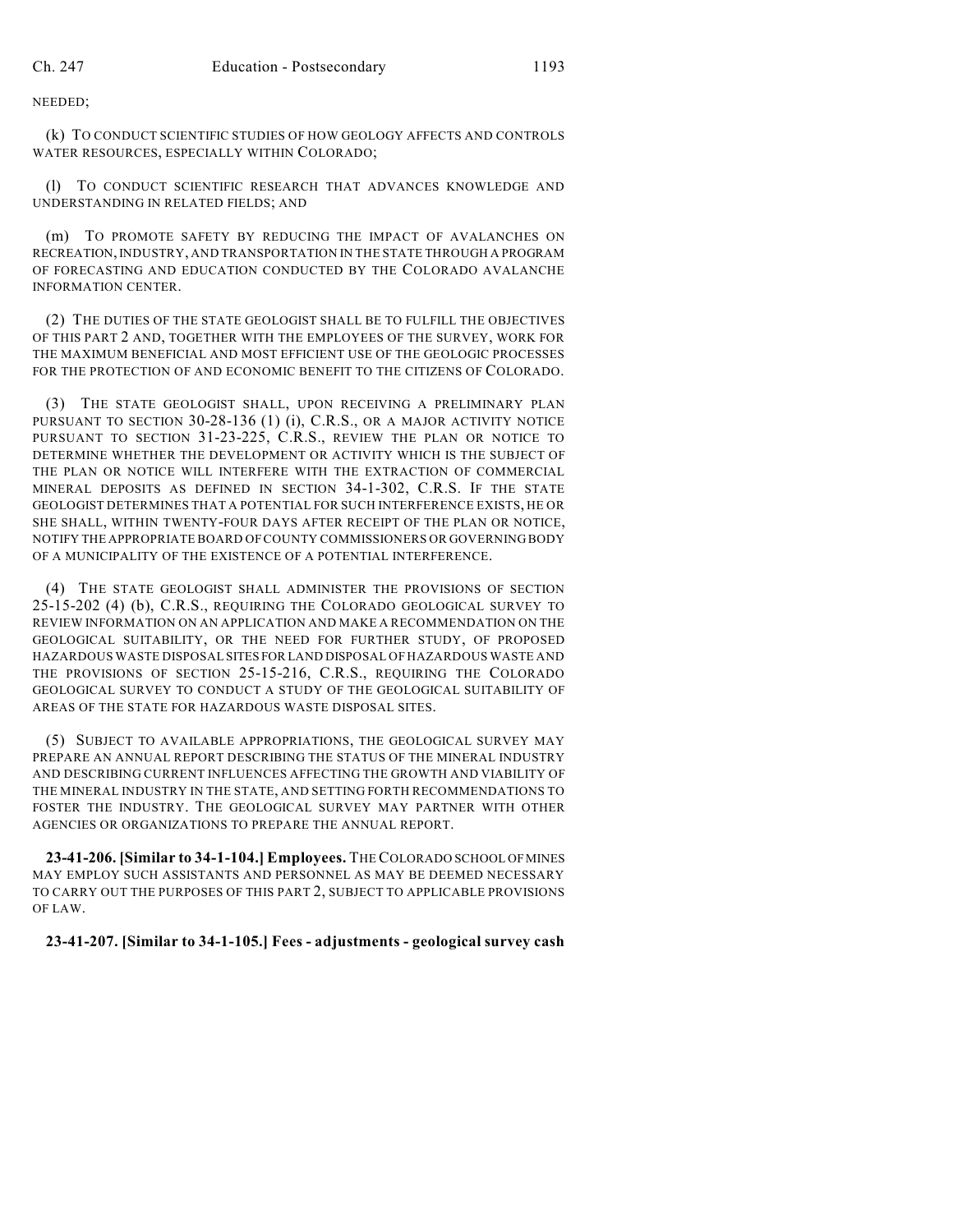NEEDED;

(k) TO CONDUCT SCIENTIFIC STUDIES OF HOW GEOLOGY AFFECTS AND CONTROLS WATER RESOURCES, ESPECIALLY WITHIN COLORADO;

(l) TO CONDUCT SCIENTIFIC RESEARCH THAT ADVANCES KNOWLEDGE AND UNDERSTANDING IN RELATED FIELDS; AND

(m) TO PROMOTE SAFETY BY REDUCING THE IMPACT OF AVALANCHES ON RECREATION,INDUSTRY, AND TRANSPORTATION IN THE STATE THROUGH A PROGRAM OF FORECASTING AND EDUCATION CONDUCTED BY THE COLORADO AVALANCHE INFORMATION CENTER.

(2) THE DUTIES OF THE STATE GEOLOGIST SHALL BE TO FULFILL THE OBJECTIVES OF THIS PART 2 AND, TOGETHER WITH THE EMPLOYEES OF THE SURVEY, WORK FOR THE MAXIMUM BENEFICIAL AND MOST EFFICIENT USE OF THE GEOLOGIC PROCESSES FOR THE PROTECTION OF AND ECONOMIC BENEFIT TO THE CITIZENS OF COLORADO.

(3) THE STATE GEOLOGIST SHALL, UPON RECEIVING A PRELIMINARY PLAN PURSUANT TO SECTION 30-28-136 (1) (i), C.R.S., OR A MAJOR ACTIVITY NOTICE PURSUANT TO SECTION 31-23-225, C.R.S., REVIEW THE PLAN OR NOTICE TO DETERMINE WHETHER THE DEVELOPMENT OR ACTIVITY WHICH IS THE SUBJECT OF THE PLAN OR NOTICE WILL INTERFERE WITH THE EXTRACTION OF COMMERCIAL MINERAL DEPOSITS AS DEFINED IN SECTION 34-1-302, C.R.S. IF THE STATE GEOLOGIST DETERMINES THAT A POTENTIAL FOR SUCH INTERFERENCE EXISTS, HE OR SHE SHALL, WITHIN TWENTY-FOUR DAYS AFTER RECEIPT OF THE PLAN OR NOTICE, NOTIFY THE APPROPRIATE BOARD OF COUNTY COMMISSIONERS OR GOVERNING BODY OF A MUNICIPALITY OF THE EXISTENCE OF A POTENTIAL INTERFERENCE.

(4) THE STATE GEOLOGIST SHALL ADMINISTER THE PROVISIONS OF SECTION 25-15-202 (4) (b), C.R.S., REQUIRING THE COLORADO GEOLOGICAL SURVEY TO REVIEW INFORMATION ON AN APPLICATION AND MAKE A RECOMMENDATION ON THE GEOLOGICAL SUITABILITY, OR THE NEED FOR FURTHER STUDY, OF PROPOSED HAZARDOUS WASTE DISPOSAL SITES FOR LAND DISPOSAL OF HAZARDOUS WASTE AND THE PROVISIONS OF SECTION 25-15-216, C.R.S., REQUIRING THE COLORADO GEOLOGICAL SURVEY TO CONDUCT A STUDY OF THE GEOLOGICAL SUITABILITY OF AREAS OF THE STATE FOR HAZARDOUS WASTE DISPOSAL SITES.

(5) SUBJECT TO AVAILABLE APPROPRIATIONS, THE GEOLOGICAL SURVEY MAY PREPARE AN ANNUAL REPORT DESCRIBING THE STATUS OF THE MINERAL INDUSTRY AND DESCRIBING CURRENT INFLUENCES AFFECTING THE GROWTH AND VIABILITY OF THE MINERAL INDUSTRY IN THE STATE, AND SETTING FORTH RECOMMENDATIONS TO FOSTER THE INDUSTRY. THE GEOLOGICAL SURVEY MAY PARTNER WITH OTHER AGENCIES OR ORGANIZATIONS TO PREPARE THE ANNUAL REPORT.

**23-41-206. [Similar to 34-1-104.] Employees.** THECOLORADO SCHOOL OFMINES MAY EMPLOY SUCH ASSISTANTS AND PERSONNEL AS MAY BE DEEMED NECESSARY TO CARRY OUT THE PURPOSES OF THIS PART 2, SUBJECT TO APPLICABLE PROVISIONS OF LAW.

## **23-41-207. [Similar to 34-1-105.] Fees - adjustments - geological survey cash**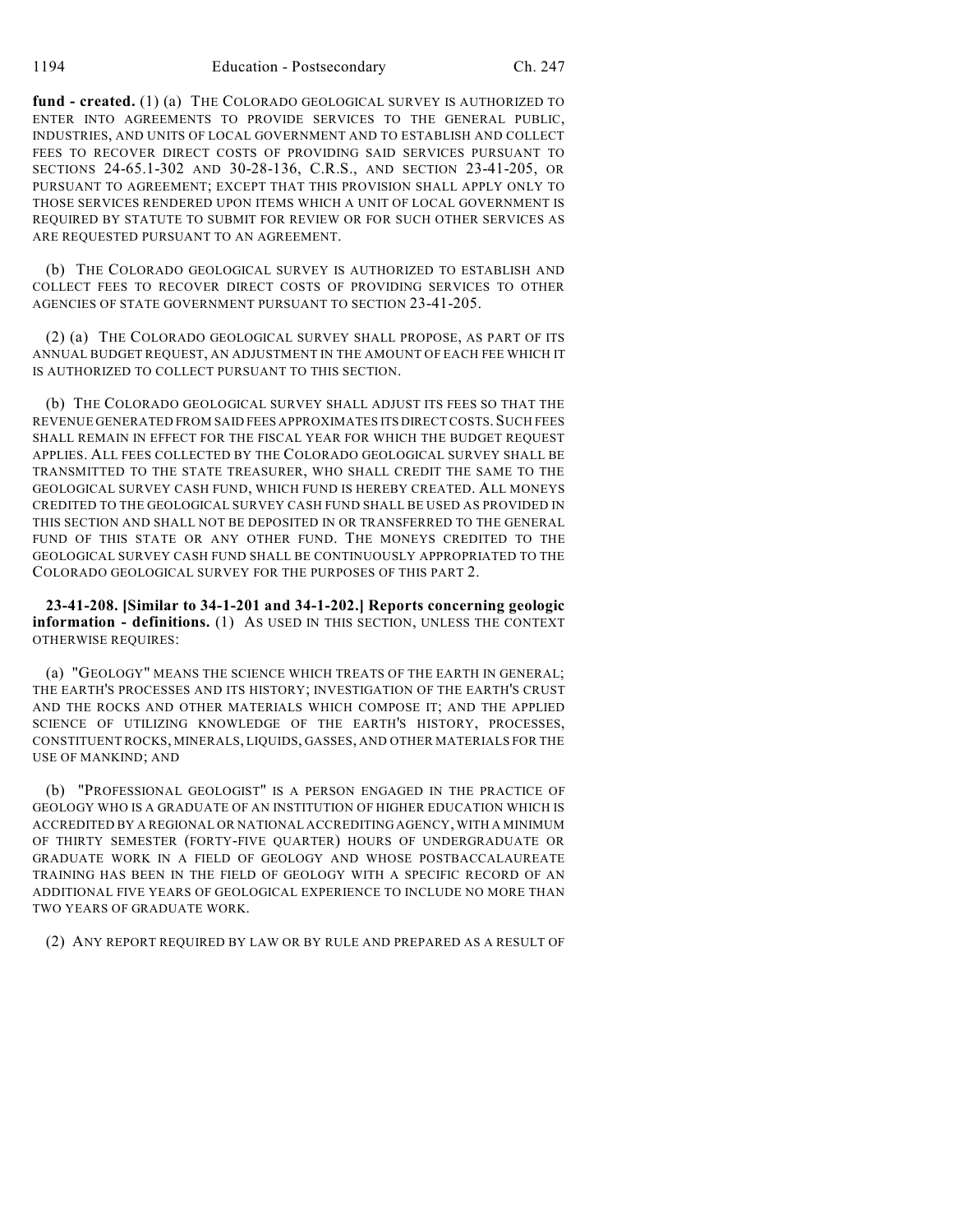**fund - created.** (1) (a) THE COLORADO GEOLOGICAL SURVEY IS AUTHORIZED TO ENTER INTO AGREEMENTS TO PROVIDE SERVICES TO THE GENERAL PUBLIC, INDUSTRIES, AND UNITS OF LOCAL GOVERNMENT AND TO ESTABLISH AND COLLECT FEES TO RECOVER DIRECT COSTS OF PROVIDING SAID SERVICES PURSUANT TO SECTIONS 24-65.1-302 AND 30-28-136, C.R.S., AND SECTION 23-41-205, OR PURSUANT TO AGREEMENT; EXCEPT THAT THIS PROVISION SHALL APPLY ONLY TO THOSE SERVICES RENDERED UPON ITEMS WHICH A UNIT OF LOCAL GOVERNMENT IS REQUIRED BY STATUTE TO SUBMIT FOR REVIEW OR FOR SUCH OTHER SERVICES AS ARE REQUESTED PURSUANT TO AN AGREEMENT.

(b) THE COLORADO GEOLOGICAL SURVEY IS AUTHORIZED TO ESTABLISH AND COLLECT FEES TO RECOVER DIRECT COSTS OF PROVIDING SERVICES TO OTHER AGENCIES OF STATE GOVERNMENT PURSUANT TO SECTION 23-41-205.

(2) (a) THE COLORADO GEOLOGICAL SURVEY SHALL PROPOSE, AS PART OF ITS ANNUAL BUDGET REQUEST, AN ADJUSTMENT IN THE AMOUNT OF EACH FEE WHICH IT IS AUTHORIZED TO COLLECT PURSUANT TO THIS SECTION.

(b) THE COLORADO GEOLOGICAL SURVEY SHALL ADJUST ITS FEES SO THAT THE REVENUE GENERATED FROM SAID FEES APPROXIMATES ITS DIRECT COSTS. SUCH FEES SHALL REMAIN IN EFFECT FOR THE FISCAL YEAR FOR WHICH THE BUDGET REQUEST APPLIES. ALL FEES COLLECTED BY THE COLORADO GEOLOGICAL SURVEY SHALL BE TRANSMITTED TO THE STATE TREASURER, WHO SHALL CREDIT THE SAME TO THE GEOLOGICAL SURVEY CASH FUND, WHICH FUND IS HEREBY CREATED. ALL MONEYS CREDITED TO THE GEOLOGICAL SURVEY CASH FUND SHALL BE USED AS PROVIDED IN THIS SECTION AND SHALL NOT BE DEPOSITED IN OR TRANSFERRED TO THE GENERAL FUND OF THIS STATE OR ANY OTHER FUND. THE MONEYS CREDITED TO THE GEOLOGICAL SURVEY CASH FUND SHALL BE CONTINUOUSLY APPROPRIATED TO THE COLORADO GEOLOGICAL SURVEY FOR THE PURPOSES OF THIS PART 2.

**23-41-208. [Similar to 34-1-201 and 34-1-202.] Reports concerning geologic information - definitions.** (1) AS USED IN THIS SECTION, UNLESS THE CONTEXT OTHERWISE REQUIRES:

(a) "GEOLOGY" MEANS THE SCIENCE WHICH TREATS OF THE EARTH IN GENERAL; THE EARTH'S PROCESSES AND ITS HISTORY; INVESTIGATION OF THE EARTH'S CRUST AND THE ROCKS AND OTHER MATERIALS WHICH COMPOSE IT; AND THE APPLIED SCIENCE OF UTILIZING KNOWLEDGE OF THE EARTH'S HISTORY, PROCESSES, CONSTITUENT ROCKS, MINERALS, LIQUIDS, GASSES, AND OTHER MATERIALS FOR THE USE OF MANKIND; AND

(b) "PROFESSIONAL GEOLOGIST" IS A PERSON ENGAGED IN THE PRACTICE OF GEOLOGY WHO IS A GRADUATE OF AN INSTITUTION OF HIGHER EDUCATION WHICH IS ACCREDITED BY A REGIONAL OR NATIONAL ACCREDITING AGENCY, WITH A MINIMUM OF THIRTY SEMESTER (FORTY-FIVE QUARTER) HOURS OF UNDERGRADUATE OR GRADUATE WORK IN A FIELD OF GEOLOGY AND WHOSE POSTBACCALAUREATE TRAINING HAS BEEN IN THE FIELD OF GEOLOGY WITH A SPECIFIC RECORD OF AN ADDITIONAL FIVE YEARS OF GEOLOGICAL EXPERIENCE TO INCLUDE NO MORE THAN TWO YEARS OF GRADUATE WORK.

(2) ANY REPORT REQUIRED BY LAW OR BY RULE AND PREPARED AS A RESULT OF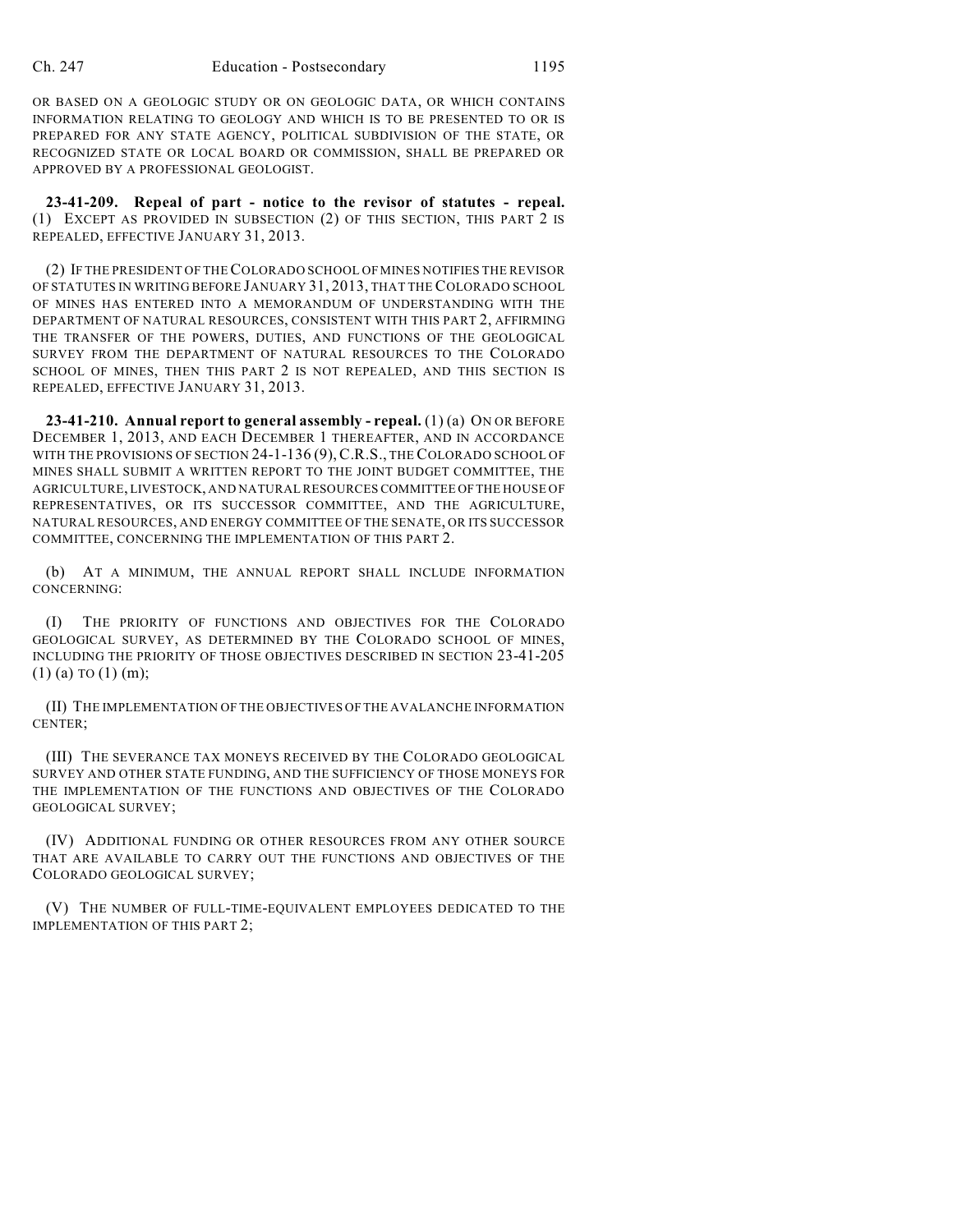OR BASED ON A GEOLOGIC STUDY OR ON GEOLOGIC DATA, OR WHICH CONTAINS INFORMATION RELATING TO GEOLOGY AND WHICH IS TO BE PRESENTED TO OR IS PREPARED FOR ANY STATE AGENCY, POLITICAL SUBDIVISION OF THE STATE, OR RECOGNIZED STATE OR LOCAL BOARD OR COMMISSION, SHALL BE PREPARED OR APPROVED BY A PROFESSIONAL GEOLOGIST.

**23-41-209. Repeal of part - notice to the revisor of statutes - repeal.** (1) EXCEPT AS PROVIDED IN SUBSECTION (2) OF THIS SECTION, THIS PART 2 IS REPEALED, EFFECTIVE JANUARY 31, 2013.

(2) IF THE PRESIDENT OF THECOLORADO SCHOOL OF MINES NOTIFIES THE REVISOR OF STATUTES IN WRITING BEFORE JANUARY 31, 2013, THAT THE COLORADO SCHOOL OF MINES HAS ENTERED INTO A MEMORANDUM OF UNDERSTANDING WITH THE DEPARTMENT OF NATURAL RESOURCES, CONSISTENT WITH THIS PART 2, AFFIRMING THE TRANSFER OF THE POWERS, DUTIES, AND FUNCTIONS OF THE GEOLOGICAL SURVEY FROM THE DEPARTMENT OF NATURAL RESOURCES TO THE COLORADO SCHOOL OF MINES, THEN THIS PART 2 IS NOT REPEALED, AND THIS SECTION IS REPEALED, EFFECTIVE JANUARY 31, 2013.

**23-41-210. Annual report to general assembly - repeal.** (1) (a) ON OR BEFORE DECEMBER 1, 2013, AND EACH DECEMBER 1 THEREAFTER, AND IN ACCORDANCE WITH THE PROVISIONS OF SECTION 24-1-136 (9), C.R.S., THE COLORADO SCHOOL OF MINES SHALL SUBMIT A WRITTEN REPORT TO THE JOINT BUDGET COMMITTEE, THE AGRICULTURE, LIVESTOCK, AND NATURALRESOURCES COMMITTEE OFTHE HOUSE OF REPRESENTATIVES, OR ITS SUCCESSOR COMMITTEE, AND THE AGRICULTURE, NATURAL RESOURCES, AND ENERGY COMMITTEE OF THE SENATE, OR ITS SUCCESSOR COMMITTEE, CONCERNING THE IMPLEMENTATION OF THIS PART 2.

(b) AT A MINIMUM, THE ANNUAL REPORT SHALL INCLUDE INFORMATION CONCERNING:

(I) THE PRIORITY OF FUNCTIONS AND OBJECTIVES FOR THE COLORADO GEOLOGICAL SURVEY, AS DETERMINED BY THE COLORADO SCHOOL OF MINES, INCLUDING THE PRIORITY OF THOSE OBJECTIVES DESCRIBED IN SECTION 23-41-205  $(1)$  (a) TO  $(1)$  (m);

(II) THE IMPLEMENTATION OF THE OBJECTIVES OF THE AVALANCHE INFORMATION CENTER;

(III) THE SEVERANCE TAX MONEYS RECEIVED BY THE COLORADO GEOLOGICAL SURVEY AND OTHER STATE FUNDING, AND THE SUFFICIENCY OF THOSE MONEYS FOR THE IMPLEMENTATION OF THE FUNCTIONS AND OBJECTIVES OF THE COLORADO GEOLOGICAL SURVEY;

(IV) ADDITIONAL FUNDING OR OTHER RESOURCES FROM ANY OTHER SOURCE THAT ARE AVAILABLE TO CARRY OUT THE FUNCTIONS AND OBJECTIVES OF THE COLORADO GEOLOGICAL SURVEY;

(V) THE NUMBER OF FULL-TIME-EQUIVALENT EMPLOYEES DEDICATED TO THE IMPLEMENTATION OF THIS PART 2;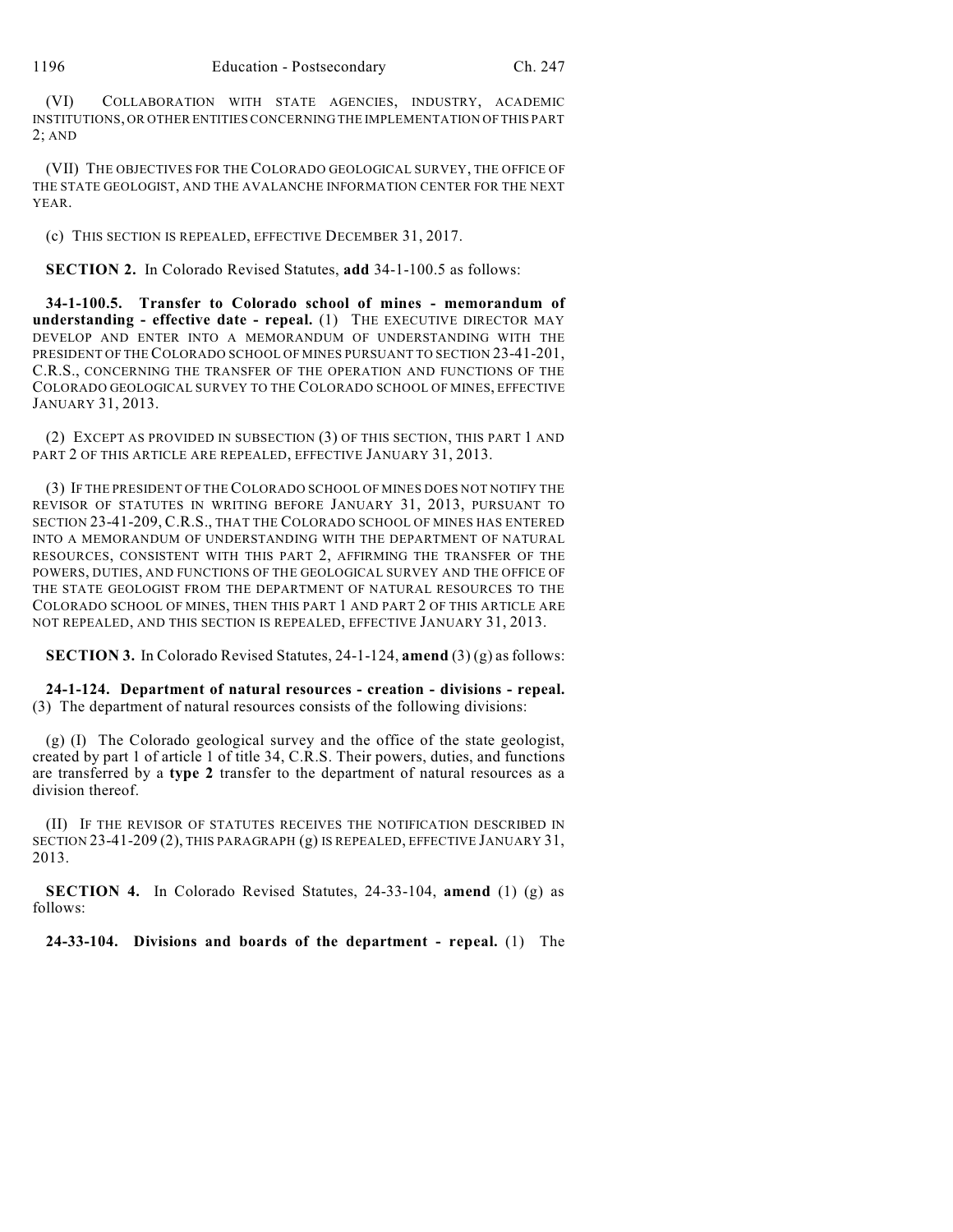(VI) COLLABORATION WITH STATE AGENCIES, INDUSTRY, ACADEMIC INSTITUTIONS, OR OTHER ENTITIES CONCERNING THE IMPLEMENTATION OF THIS PART 2; AND

(VII) THE OBJECTIVES FOR THE COLORADO GEOLOGICAL SURVEY, THE OFFICE OF THE STATE GEOLOGIST, AND THE AVALANCHE INFORMATION CENTER FOR THE NEXT YEAR.

(c) THIS SECTION IS REPEALED, EFFECTIVE DECEMBER 31, 2017.

**SECTION 2.** In Colorado Revised Statutes, **add** 34-1-100.5 as follows:

**34-1-100.5. Transfer to Colorado school of mines - memorandum of understanding - effective date - repeal.** (1) THE EXECUTIVE DIRECTOR MAY DEVELOP AND ENTER INTO A MEMORANDUM OF UNDERSTANDING WITH THE PRESIDENT OF THE COLORADO SCHOOL OF MINES PURSUANT TO SECTION 23-41-201, C.R.S., CONCERNING THE TRANSFER OF THE OPERATION AND FUNCTIONS OF THE COLORADO GEOLOGICAL SURVEY TO THE COLORADO SCHOOL OF MINES, EFFECTIVE JANUARY 31, 2013.

(2) EXCEPT AS PROVIDED IN SUBSECTION (3) OF THIS SECTION, THIS PART 1 AND PART 2 OF THIS ARTICLE ARE REPEALED, EFFECTIVE JANUARY 31, 2013.

(3) IF THE PRESIDENT OF THE COLORADO SCHOOL OF MINES DOES NOT NOTIFY THE REVISOR OF STATUTES IN WRITING BEFORE JANUARY 31, 2013, PURSUANT TO SECTION 23-41-209, C.R.S., THAT THE COLORADO SCHOOL OF MINES HAS ENTERED INTO A MEMORANDUM OF UNDERSTANDING WITH THE DEPARTMENT OF NATURAL RESOURCES, CONSISTENT WITH THIS PART 2, AFFIRMING THE TRANSFER OF THE POWERS, DUTIES, AND FUNCTIONS OF THE GEOLOGICAL SURVEY AND THE OFFICE OF THE STATE GEOLOGIST FROM THE DEPARTMENT OF NATURAL RESOURCES TO THE COLORADO SCHOOL OF MINES, THEN THIS PART 1 AND PART 2 OF THIS ARTICLE ARE NOT REPEALED, AND THIS SECTION IS REPEALED, EFFECTIVE JANUARY 31, 2013.

**SECTION 3.** In Colorado Revised Statutes, 24-1-124, **amend** (3) (g) as follows:

**24-1-124. Department of natural resources - creation - divisions - repeal.** (3) The department of natural resources consists of the following divisions:

(g) (I) The Colorado geological survey and the office of the state geologist, created by part 1 of article 1 of title 34, C.R.S. Their powers, duties, and functions are transferred by a **type 2** transfer to the department of natural resources as a division thereof.

(II) IF THE REVISOR OF STATUTES RECEIVES THE NOTIFICATION DESCRIBED IN SECTION 23-41-209 (2), THIS PARAGRAPH (g) IS REPEALED, EFFECTIVE JANUARY 31, 2013.

**SECTION 4.** In Colorado Revised Statutes, 24-33-104, **amend** (1) (g) as follows:

**24-33-104. Divisions and boards of the department - repeal.** (1) The